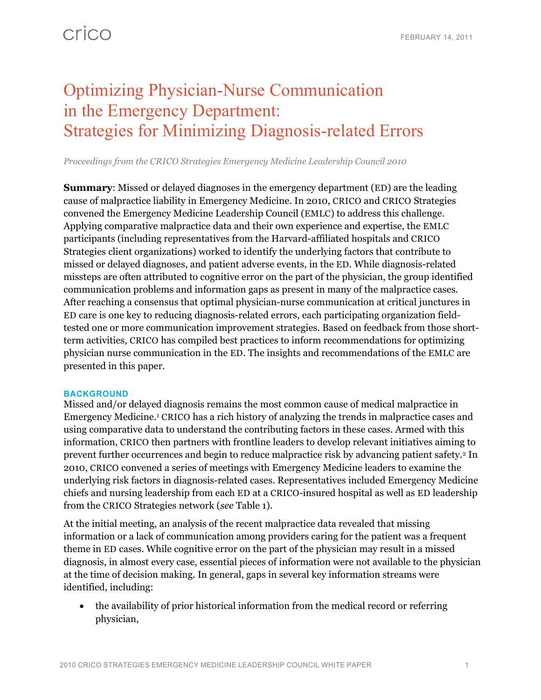## Optimizing Physician-Nurse Communication in the Emergency Department: Strategies for Minimizing Diagnosis-related Errors

*Proceedings from the CRICO Strategies Emergency Medicine Leadership Council 2010* 

**Summary:** Missed or delayed diagnoses in the emergency department (ED) are the leading cause of malpractice liability in Emergency Medicine. In 2010, CRICO and CRICO Strategies convened the Emergency Medicine Leadership Council (EMLC) to address this challenge. Applying comparative malpractice data and their own experience and expertise, the EMLC participants (including representatives from the Harvard-affiliated hospitals and CRICO Strategies client organizations) worked to identify the underlying factors that contribute to missed or delayed diagnoses, and patient adverse events, in the ED. While diagnosis-related missteps are often attributed to cognitive error on the part of the physician, the group identified communication problems and information gaps as present in many of the malpractice cases. After reaching a consensus that optimal physician-nurse communication at critical junctures in ED care is one key to reducing diagnosis-related errors, each participating organization fieldtested one or more communication improvement strategies. Based on feedback from those shortterm activities, CRICO has compiled best practices to inform recommendations for optimizing physician nurse communication in the ED. The insights and recommendations of the EMLC are presented in this paper.

### **BACKGROUND**

Missed and/or delayed diagnosis remains the most common cause of medical malpractice in Emergency Medicine.1 CRICO has a rich history of analyzing the trends in malpractice cases and using comparative data to understand the contributing factors in these cases. Armed with this information, CRICO then partners with frontline leaders to develop relevant initiatives aiming to prevent further occurrences and begin to reduce malpractice risk by advancing patient safety.2 In 2010, CRICO convened a series of meetings with Emergency Medicine leaders to examine the underlying risk factors in diagnosis-related cases. Representatives included Emergency Medicine chiefs and nursing leadership from each ED at a CRICO-insured hospital as well as ED leadership from the CRICO Strategies network (*see* Table 1).

At the initial meeting, an analysis of the recent malpractice data revealed that missing information or a lack of communication among providers caring for the patient was a frequent theme in ED cases. While cognitive error on the part of the physician may result in a missed diagnosis, in almost every case, essential pieces of information were not available to the physician at the time of decision making. In general, gaps in several key information streams were identified, including:

 the availability of prior historical information from the medical record or referring physician,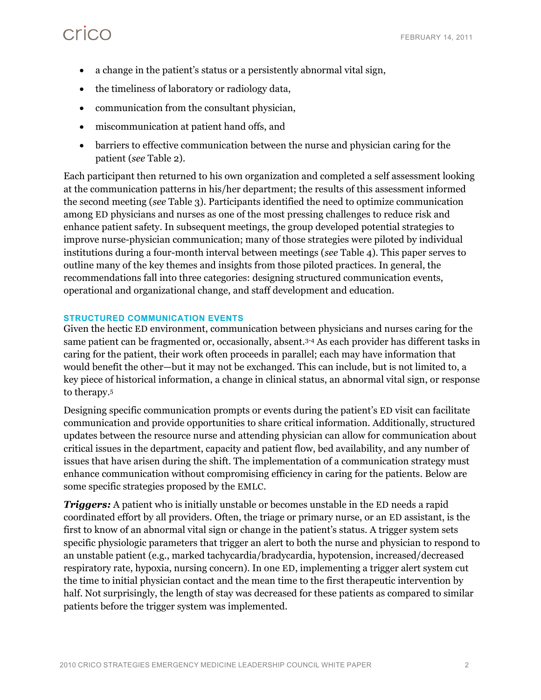- a change in the patient's status or a persistently abnormal vital sign,
- the timeliness of laboratory or radiology data,
- communication from the consultant physician,
- miscommunication at patient hand offs, and
- barriers to effective communication between the nurse and physician caring for the patient (*see* Table 2).

Each participant then returned to his own organization and completed a self assessment looking at the communication patterns in his/her department; the results of this assessment informed the second meeting (*see* Table 3). Participants identified the need to optimize communication among ED physicians and nurses as one of the most pressing challenges to reduce risk and enhance patient safety. In subsequent meetings, the group developed potential strategies to improve nurse-physician communication; many of those strategies were piloted by individual institutions during a four-month interval between meetings (*see* Table 4). This paper serves to outline many of the key themes and insights from those piloted practices. In general, the recommendations fall into three categories: designing structured communication events, operational and organizational change, and staff development and education.

### **STRUCTURED COMMUNICATION EVENTS**

Given the hectic ED environment, communication between physicians and nurses caring for the same patient can be fragmented or, occasionally, absent.<sup>3-4</sup> As each provider has different tasks in caring for the patient, their work often proceeds in parallel; each may have information that would benefit the other—but it may not be exchanged. This can include, but is not limited to, a key piece of historical information, a change in clinical status, an abnormal vital sign, or response to therapy.5

Designing specific communication prompts or events during the patient's ED visit can facilitate communication and provide opportunities to share critical information. Additionally, structured updates between the resource nurse and attending physician can allow for communication about critical issues in the department, capacity and patient flow, bed availability, and any number of issues that have arisen during the shift. The implementation of a communication strategy must enhance communication without compromising efficiency in caring for the patients. Below are some specific strategies proposed by the EMLC.

*Triggers:* A patient who is initially unstable or becomes unstable in the ED needs a rapid coordinated effort by all providers. Often, the triage or primary nurse, or an ED assistant, is the first to know of an abnormal vital sign or change in the patient's status. A trigger system sets specific physiologic parameters that trigger an alert to both the nurse and physician to respond to an unstable patient (e.g., marked tachycardia/bradycardia, hypotension, increased/decreased respiratory rate, hypoxia, nursing concern). In one ED, implementing a trigger alert system cut the time to initial physician contact and the mean time to the first therapeutic intervention by half. Not surprisingly, the length of stay was decreased for these patients as compared to similar patients before the trigger system was implemented.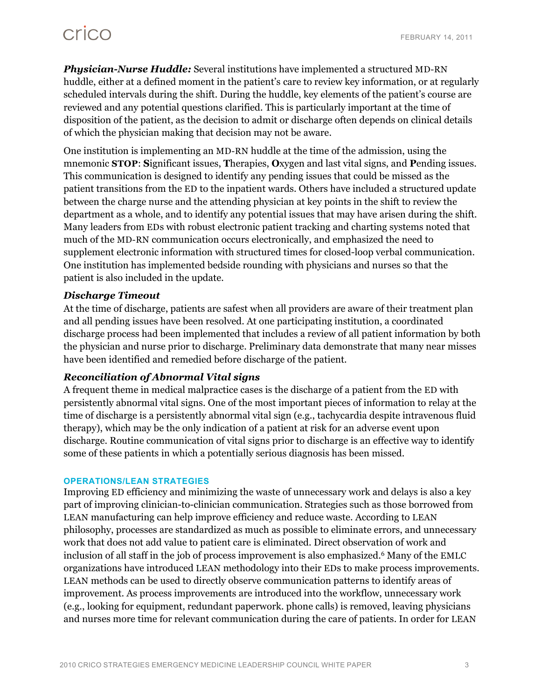## crico

*Physician-Nurse Huddle:* Several institutions have implemented a structured MD-RN huddle, either at a defined moment in the patient's care to review key information, or at regularly scheduled intervals during the shift. During the huddle, key elements of the patient's course are reviewed and any potential questions clarified. This is particularly important at the time of disposition of the patient, as the decision to admit or discharge often depends on clinical details of which the physician making that decision may not be aware.

One institution is implementing an MD-RN huddle at the time of the admission, using the mnemonic **STOP**: **S**ignificant issues, **T**herapies, **O**xygen and last vital signs, and **P**ending issues. This communication is designed to identify any pending issues that could be missed as the patient transitions from the ED to the inpatient wards. Others have included a structured update between the charge nurse and the attending physician at key points in the shift to review the department as a whole, and to identify any potential issues that may have arisen during the shift. Many leaders from EDs with robust electronic patient tracking and charting systems noted that much of the MD-RN communication occurs electronically, and emphasized the need to supplement electronic information with structured times for closed-loop verbal communication. One institution has implemented bedside rounding with physicians and nurses so that the patient is also included in the update.

## *Discharge Timeout*

At the time of discharge, patients are safest when all providers are aware of their treatment plan and all pending issues have been resolved. At one participating institution, a coordinated discharge process had been implemented that includes a review of all patient information by both the physician and nurse prior to discharge. Preliminary data demonstrate that many near misses have been identified and remedied before discharge of the patient.

## *Reconciliation of Abnormal Vital signs*

A frequent theme in medical malpractice cases is the discharge of a patient from the ED with persistently abnormal vital signs. One of the most important pieces of information to relay at the time of discharge is a persistently abnormal vital sign (e.g., tachycardia despite intravenous fluid therapy), which may be the only indication of a patient at risk for an adverse event upon discharge. Routine communication of vital signs prior to discharge is an effective way to identify some of these patients in which a potentially serious diagnosis has been missed.

### **OPERATIONS/LEAN STRATEGIES**

Improving ED efficiency and minimizing the waste of unnecessary work and delays is also a key part of improving clinician-to-clinician communication. Strategies such as those borrowed from LEAN manufacturing can help improve efficiency and reduce waste. According to LEAN philosophy, processes are standardized as much as possible to eliminate errors, and unnecessary work that does not add value to patient care is eliminated. Direct observation of work and inclusion of all staff in the job of process improvement is also emphasized.<sup>6</sup> Many of the EMLC organizations have introduced LEAN methodology into their EDs to make process improvements. LEAN methods can be used to directly observe communication patterns to identify areas of improvement. As process improvements are introduced into the workflow, unnecessary work (e.g., looking for equipment, redundant paperwork. phone calls) is removed, leaving physicians and nurses more time for relevant communication during the care of patients. In order for LEAN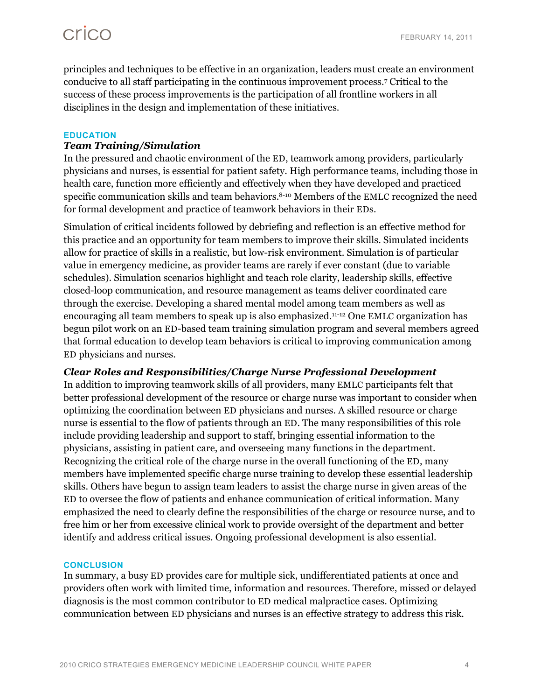principles and techniques to be effective in an organization, leaders must create an environment conducive to all staff participating in the continuous improvement process.7 Critical to the success of these process improvements is the participation of all frontline workers in all disciplines in the design and implementation of these initiatives.

### **EDUCATION**

## *Team Training/Simulation*

In the pressured and chaotic environment of the ED, teamwork among providers, particularly physicians and nurses, is essential for patient safety. High performance teams, including those in health care, function more efficiently and effectively when they have developed and practiced specific communication skills and team behaviors.<sup>8-10</sup> Members of the EMLC recognized the need for formal development and practice of teamwork behaviors in their EDs.

Simulation of critical incidents followed by debriefing and reflection is an effective method for this practice and an opportunity for team members to improve their skills. Simulated incidents allow for practice of skills in a realistic, but low-risk environment. Simulation is of particular value in emergency medicine, as provider teams are rarely if ever constant (due to variable schedules). Simulation scenarios highlight and teach role clarity, leadership skills, effective closed-loop communication, and resource management as teams deliver coordinated care through the exercise. Developing a shared mental model among team members as well as encouraging all team members to speak up is also emphasized.11-12 One EMLC organization has begun pilot work on an ED-based team training simulation program and several members agreed that formal education to develop team behaviors is critical to improving communication among ED physicians and nurses.

## *Clear Roles and Responsibilities/Charge Nurse Professional Development*

In addition to improving teamwork skills of all providers, many EMLC participants felt that better professional development of the resource or charge nurse was important to consider when optimizing the coordination between ED physicians and nurses. A skilled resource or charge nurse is essential to the flow of patients through an ED. The many responsibilities of this role include providing leadership and support to staff, bringing essential information to the physicians, assisting in patient care, and overseeing many functions in the department. Recognizing the critical role of the charge nurse in the overall functioning of the ED, many members have implemented specific charge nurse training to develop these essential leadership skills. Others have begun to assign team leaders to assist the charge nurse in given areas of the ED to oversee the flow of patients and enhance communication of critical information. Many emphasized the need to clearly define the responsibilities of the charge or resource nurse, and to free him or her from excessive clinical work to provide oversight of the department and better identify and address critical issues. Ongoing professional development is also essential.

### **CONCLUSION**

In summary, a busy ED provides care for multiple sick, undifferentiated patients at once and providers often work with limited time, information and resources. Therefore, missed or delayed diagnosis is the most common contributor to ED medical malpractice cases. Optimizing communication between ED physicians and nurses is an effective strategy to address this risk.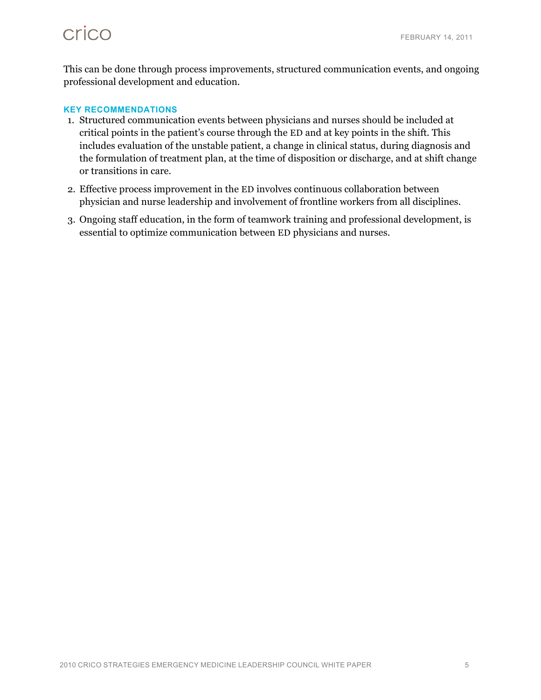# crico

This can be done through process improvements, structured communication events, and ongoing professional development and education.

### **KEY RECOMMENDATIONS**

- 1. Structured communication events between physicians and nurses should be included at critical points in the patient's course through the ED and at key points in the shift. This includes evaluation of the unstable patient, a change in clinical status, during diagnosis and the formulation of treatment plan, at the time of disposition or discharge, and at shift change or transitions in care.
- 2. Effective process improvement in the ED involves continuous collaboration between physician and nurse leadership and involvement of frontline workers from all disciplines.
- 3. Ongoing staff education, in the form of teamwork training and professional development, is essential to optimize communication between ED physicians and nurses.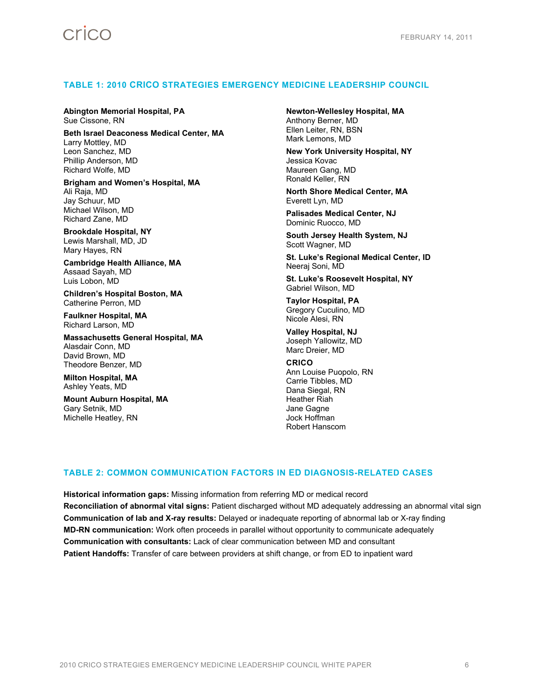### **TABLE 1: 2010 CRICO STRATEGIES EMERGENCY MEDICINE LEADERSHIP COUNCIL**

#### **Abington Memorial Hospital, PA**  Sue Cissone, RN

**Beth Israel Deaconess Medical Center, MA**  Larry Mottley, MD Leon Sanchez, MD Phillip Anderson, MD Richard Wolfe, MD

**Brigham and Women's Hospital, MA**  Ali Raja, MD Jay Schuur, MD Michael Wilson, MD Richard Zane, MD

**Brookdale Hospital, NY**  Lewis Marshall, MD, JD Mary Hayes, RN

**Cambridge Health Alliance, MA**  Assaad Sayah, MD Luis Lobon, MD

**Children's Hospital Boston, MA**  Catherine Perron, MD

**Faulkner Hospital, MA**  Richard Larson, MD

**Massachusetts General Hospital, MA**  Alasdair Conn, MD David Brown, MD Theodore Benzer, MD

**Milton Hospital, MA**  Ashley Yeats, MD

**Mount Auburn Hospital, MA**  Gary Setnik, MD Michelle Heatley, RN

**Newton-Wellesley Hospital, MA**  Anthony Berner, MD Ellen Leiter, RN, BSN Mark Lemons, MD

**New York University Hospital, NY**  Jessica Kovac Maureen Gang, MD Ronald Keller, RN

**North Shore Medical Center, MA**  Everett Lyn, MD

**Palisades Medical Center, NJ**  Dominic Ruocco, MD

**South Jersey Health System, NJ**  Scott Wagner, MD

**St. Luke's Regional Medical Center, ID**  Neeraj Soni, MD

**St. Luke's Roosevelt Hospital, NY**  Gabriel Wilson, MD

**Taylor Hospital, PA**  Gregory Cuculino, MD Nicole Alesi, RN

**Valley Hospital, NJ**  Joseph Yallowitz, MD Marc Dreier, MD

**CRICO**  Ann Louise Puopolo, RN Carrie Tibbles, MD Dana Siegal, RN Heather Riah Jane Gagne Jock Hoffman Robert Hanscom

### **TABLE 2: COMMON COMMUNICATION FACTORS IN ED DIAGNOSIS-RELATED CASES**

**Historical information gaps:** Missing information from referring MD or medical record **Reconciliation of abnormal vital signs:** Patient discharged without MD adequately addressing an abnormal vital sign **Communication of lab and X-ray results:** Delayed or inadequate reporting of abnormal lab or X-ray finding **MD-RN communication:** Work often proceeds in parallel without opportunity to communicate adequately **Communication with consultants:** Lack of clear communication between MD and consultant **Patient Handoffs:** Transfer of care between providers at shift change, or from ED to inpatient ward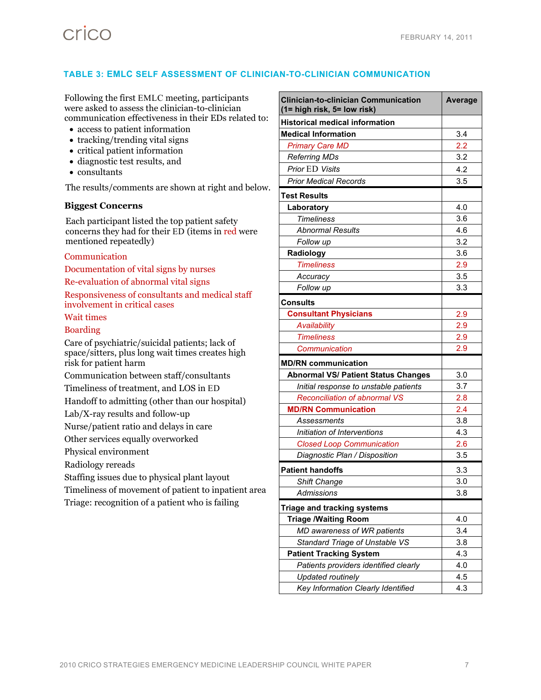### **TABLE 3: EMLC SELF ASSESSMENT OF CLINICIAN-TO-CLINICIAN COMMUNICATION**

Following the first EMLC meeting, participants were asked to assess the clinician-to-clinician communication effectiveness in their EDs related to:

- access to patient information
- tracking/trending vital signs
- critical patient information
- diagnostic test results, and
- consultants

The results/comments are shown at right and below.

#### **Biggest Concerns**

Each participant listed the top patient safety concerns they had for their ED (items in red were mentioned repeatedly)

#### Communication

Documentation of vital signs by nurses Re-evaluation of abnormal vital signs Responsiveness of consultants and medical staff involvement in critical cases

#### Wait times

#### Boarding

Care of psychiatric/suicidal patients; lack of space/sitters, plus long wait times creates high risk for patient harm

Communication between staff/consultants

Timeliness of treatment, and LOS in ED

Handoff to admitting (other than our hospital)

Lab/X-ray results and follow-up

Nurse/patient ratio and delays in care

Other services equally overworked

Physical environment

Radiology rereads

Staffing issues due to physical plant layout

Timeliness of movement of patient to inpatient area

Triage: recognition of a patient who is failing

| <b>Clinician-to-clinician Communication</b><br>(1= high risk, 5= low risk) | Average |
|----------------------------------------------------------------------------|---------|
| <b>Historical medical information</b>                                      |         |
| <b>Medical Information</b>                                                 | 3.4     |
| <b>Primary Care MD</b>                                                     | 2.2     |
| <b>Referring MDs</b>                                                       | 3.2     |
| <b>Prior ED Visits</b>                                                     | 4.2     |
| <b>Prior Medical Records</b>                                               | 3.5     |
| <b>Test Results</b>                                                        |         |
| Laboratory                                                                 | 4.0     |
| <b>Timeliness</b>                                                          | 3.6     |
| <b>Abnormal Results</b>                                                    | 4.6     |
| Follow up                                                                  | 3.2     |
| Radiology                                                                  | 3.6     |
| <b>Timeliness</b>                                                          | 2.9     |
| Accuracy                                                                   | 3.5     |
| Follow up                                                                  | 3.3     |
| <b>Consults</b>                                                            |         |
| <b>Consultant Physicians</b>                                               | 2.9     |
| Availability                                                               | 2.9     |
| <b>Timeliness</b>                                                          | 2.9     |
| Communication                                                              | 2.9     |
| <b>MD/RN communication</b>                                                 |         |
| <b>Abnormal VS/ Patient Status Changes</b>                                 | 3.0     |
| Initial response to unstable patients                                      | 3.7     |
| <b>Reconciliation of abnormal VS</b>                                       | 2.8     |
| <b>MD/RN Communication</b>                                                 | 2.4     |
| Assessments                                                                | 3.8     |
| Initiation of Interventions                                                | 4.3     |
| <b>Closed Loop Communication</b>                                           | 2.6     |
| Diagnostic Plan / Disposition                                              | 3.5     |
| <b>Patient handoffs</b>                                                    | 3.3     |
| <b>Shift Change</b>                                                        | 3.0     |
| <b>Admissions</b>                                                          | 3.8     |
| <b>Triage and tracking systems</b>                                         |         |
| <b>Triage /Waiting Room</b>                                                | 4.0     |
| MD awareness of WR patients                                                | 3.4     |
| Standard Triage of Unstable VS                                             | 3.8     |
| <b>Patient Tracking System</b>                                             | 4.3     |
| Patients providers identified clearly                                      | 4.0     |
| <b>Updated routinely</b>                                                   | 4.5     |
| Key Information Clearly Identified                                         | 4.3     |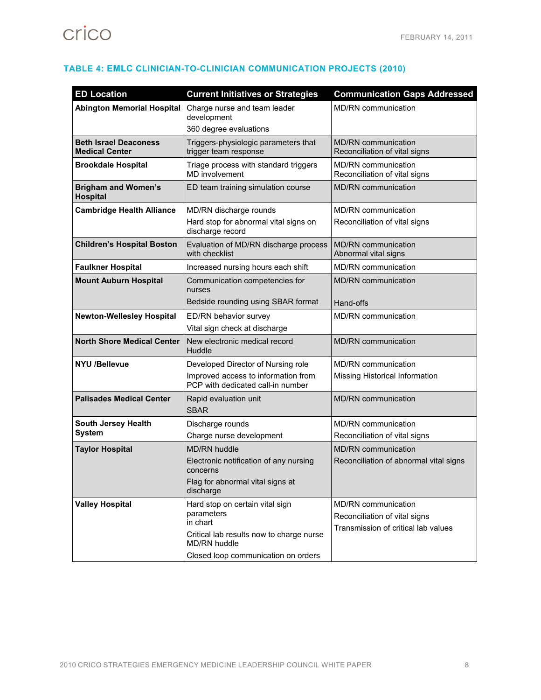# crico

|  |  | TABLE 4: EMLC CLINICIAN-TO-CLINICIAN COMMUNICATION PROJECTS (2010) |  |
|--|--|--------------------------------------------------------------------|--|
|--|--|--------------------------------------------------------------------|--|

| <b>ED Location</b>                                    | <b>Current Initiatives or Strategies</b>                                                                                                                     | <b>Communication Gaps Addressed</b>                                                         |
|-------------------------------------------------------|--------------------------------------------------------------------------------------------------------------------------------------------------------------|---------------------------------------------------------------------------------------------|
| <b>Abington Memorial Hospital</b>                     | Charge nurse and team leader<br>development<br>360 degree evaluations                                                                                        | <b>MD/RN</b> communication                                                                  |
| <b>Beth Israel Deaconess</b><br><b>Medical Center</b> | Triggers-physiologic parameters that<br>trigger team response                                                                                                | <b>MD/RN</b> communication<br>Reconciliation of vital signs                                 |
| <b>Brookdale Hospital</b>                             | Triage process with standard triggers<br><b>MD</b> involvement                                                                                               | <b>MD/RN</b> communication<br>Reconciliation of vital signs                                 |
| <b>Brigham and Women's</b><br><b>Hospital</b>         | ED team training simulation course                                                                                                                           | MD/RN communication                                                                         |
| <b>Cambridge Health Alliance</b>                      | MD/RN discharge rounds<br>Hard stop for abnormal vital signs on<br>discharge record                                                                          | <b>MD/RN</b> communication<br>Reconciliation of vital signs                                 |
| <b>Children's Hospital Boston</b>                     | Evaluation of MD/RN discharge process<br>with checklist                                                                                                      | <b>MD/RN</b> communication<br>Abnormal vital signs                                          |
| <b>Faulkner Hospital</b>                              | Increased nursing hours each shift                                                                                                                           | <b>MD/RN</b> communication                                                                  |
| <b>Mount Auburn Hospital</b>                          | Communication competencies for<br>nurses<br>Bedside rounding using SBAR format                                                                               | MD/RN communication<br>Hand-offs                                                            |
| <b>Newton-Wellesley Hospital</b>                      | ED/RN behavior survey<br>Vital sign check at discharge                                                                                                       | MD/RN communication                                                                         |
| <b>North Shore Medical Center</b>                     | New electronic medical record<br>Huddle                                                                                                                      | <b>MD/RN</b> communication                                                                  |
| <b>NYU /Bellevue</b>                                  | Developed Director of Nursing role<br>Improved access to information from<br>PCP with dedicated call-in number                                               | <b>MD/RN</b> communication<br>Missing Historical Information                                |
| <b>Palisades Medical Center</b>                       | Rapid evaluation unit<br><b>SBAR</b>                                                                                                                         | MD/RN communication                                                                         |
| South Jersey Health<br><b>System</b>                  | Discharge rounds<br>Charge nurse development                                                                                                                 | <b>MD/RN</b> communication<br>Reconciliation of vital signs                                 |
| <b>Taylor Hospital</b>                                | MD/RN huddle<br>Electronic notification of any nursing<br>concerns<br>Flag for abnormal vital signs at<br>discharge                                          | <b>MD/RN</b> communication<br>Reconciliation of abnormal vital signs                        |
| <b>Valley Hospital</b>                                | Hard stop on certain vital sign<br>parameters<br>in chart<br>Critical lab results now to charge nurse<br>MD/RN huddle<br>Closed loop communication on orders | MD/RN communication<br>Reconciliation of vital signs<br>Transmission of critical lab values |